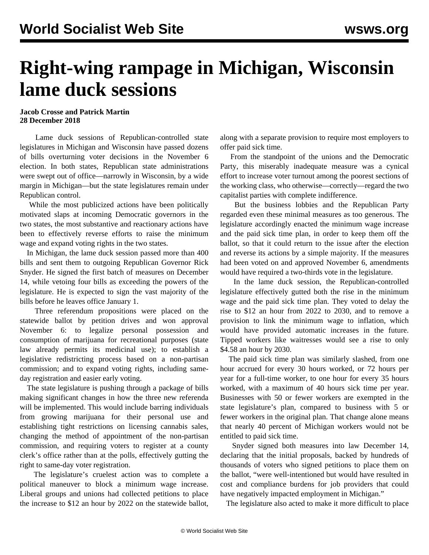## **Right-wing rampage in Michigan, Wisconsin lame duck sessions**

## **Jacob Crosse and Patrick Martin 28 December 2018**

 Lame duck sessions of Republican-controlled state legislatures in Michigan and Wisconsin have passed dozens of bills overturning voter decisions in the November 6 election. In both states, Republican state administrations were swept out of office—narrowly in Wisconsin, by a wide margin in Michigan—but the state legislatures remain under Republican control.

 While the most publicized actions have been politically motivated slaps at incoming Democratic governors in the two states, the most substantive and reactionary actions have been to effectively reverse efforts to raise the minimum wage and expand voting rights in the two states.

 In Michigan, the lame duck session passed more than 400 bills and sent them to outgoing Republican Governor Rick Snyder. He signed the first batch of measures on December 14, while vetoing four bills as exceeding the powers of the legislature. He is expected to sign the vast majority of the bills before he leaves office January 1.

 Three referendum propositions were placed on the statewide ballot by petition drives and won approval November 6: to legalize personal possession and consumption of marijuana for recreational purposes (state law already permits its medicinal use); to establish a legislative redistricting process based on a non-partisan commission; and to expand voting rights, including sameday registration and easier early voting.

 The state legislature is pushing through a package of bills making significant changes in how the three new referenda will be implemented. This would include barring individuals from growing marijuana for their personal use and establishing tight restrictions on licensing cannabis sales, changing the method of appointment of the non-partisan commission, and requiring voters to register at a county clerk's office rather than at the polls, effectively gutting the right to same-day voter registration.

 The legislature's cruelest action was to complete a political maneuver to block a minimum wage increase. Liberal groups and unions had collected petitions to place the increase to \$12 an hour by 2022 on the statewide ballot,

along with a separate provision to require most employers to offer paid sick time.

 From the standpoint of the unions and the Democratic Party, this miserably inadequate measure was a cynical effort to increase voter turnout among the poorest sections of the working class, who otherwise—correctly—regard the two capitalist parties with complete indifference.

 But the business lobbies and the Republican Party regarded even these minimal measures as too generous. The legislature accordingly enacted the minimum wage increase and the paid sick time plan, in order to keep them off the ballot, so that it could return to the issue after the election and reverse its actions by a simple majority. If the measures had been voted on and approved November 6, amendments would have required a two-thirds vote in the legislature.

 In the lame duck session, the Republican-controlled legislature effectively gutted both the rise in the minimum wage and the paid sick time plan. They voted to delay the rise to \$12 an hour from 2022 to 2030, and to remove a provision to link the minimum wage to inflation, which would have provided automatic increases in the future. Tipped workers like waitresses would see a rise to only \$4.58 an hour by 2030.

 The paid sick time plan was similarly slashed, from one hour accrued for every 30 hours worked, or 72 hours per year for a full-time worker, to one hour for every 35 hours worked, with a maximum of 40 hours sick time per year. Businesses with 50 or fewer workers are exempted in the state legislature's plan, compared to business with 5 or fewer workers in the original plan. That change alone means that nearly 40 percent of Michigan workers would not be entitled to paid sick time.

 Snyder signed both measures into law December 14, declaring that the initial proposals, backed by hundreds of thousands of voters who signed petitions to place them on the ballot, "were well-intentioned but would have resulted in cost and compliance burdens for job providers that could have negatively impacted employment in Michigan."

The legislature also acted to make it more difficult to place